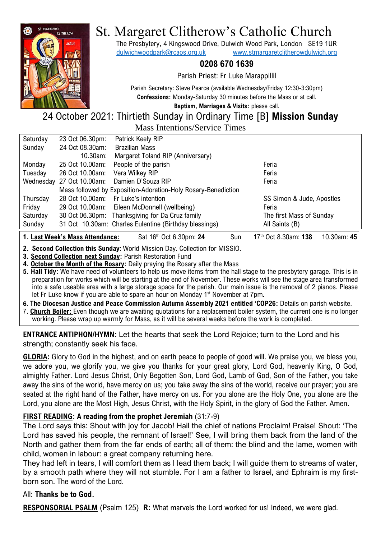

# St. Margaret Clitherow's Catholic Church

The Presbytery, 4 Kingswood Drive, Dulwich Wood Park, London SE19 1UR [dulwichwoodpark@rcaos.org.uk](mailto:dulwichwoodpark@rcaos.org.uk) [www.stmargaretclitherowdulwich.org](http://www.stmargaretclitherowdulwich.org/)

# **0208 670 1639**

Parish Priest: Fr Luke Marappillil

Parish Secretary: Steve Pearce (available Wednesday/Friday 12:30-3:30pm) **Confessions:** Monday-Saturday 30 minutes before the Mass or at call.

**Baptism, Marriages & Visits:** please call.

24 October 2021: Thirtieth Sunday in Ordinary Time [B] **Mission Sunday** Mass Intentions/Service Times

| Saturday | 23 Oct 06.30pm:           | Patrick Keely RIP                                             |                           |
|----------|---------------------------|---------------------------------------------------------------|---------------------------|
| Sunday   | 24 Oct 08.30am:           | <b>Brazilian Mass</b>                                         |                           |
|          | 10.30am:                  | Margaret Toland RIP (Anniversary)                             |                           |
| Monday   | 25 Oct 10.00am:           | People of the parish                                          | Feria                     |
| Tuesday  | 26 Oct 10.00am:           | Vera Wilkey RIP                                               | Feria                     |
|          | Wednesday 27 Oct 10.00am: | Damien D'Souza RIP                                            | Feria                     |
|          |                           | Mass followed by Exposition-Adoration-Holy Rosary-Benediction |                           |
| Thursday |                           | 28 Oct 10.00am: Fr Luke's intention                           | SS Simon & Jude, Apostles |
| Friday   |                           | 29 Oct 10.00am: Eileen McDonnell (wellbeing)                  | Feria                     |
| Saturday |                           | 30 Oct 06.30pm: Thanksgiving for Da Cruz family               | The first Mass of Sunday  |
| Sunday   |                           | 31 Oct 10.30am: Charles Eulentine (Birthday blessings)        | All Saints (B)            |
|          |                           |                                                               |                           |

**1. Last Week's Mass Attendance:** Sat 16<sup>th</sup> Oct 6.30pm: 24 Sun

th Oct 8.30am: **138** 10.30am: **45**

**2. Second Collection this Sunday**: World Mission Day. Collection for MISSIO.

**3. Second Collection next Sunday:** Parish Restoration Fund

**4. October the Month of the Rosary:** Daily praying the Rosary after the Mass

**5. Hall Tidy:** We have need of volunteers to help us move items from the hall stage to the presbytery garage. This is in preparation for works which will be starting at the end of November. These works will see the stage area transformed into a safe useable area with a large storage space for the parish. Our main issue is the removal of 2 pianos. Please let Fr Luke know if you are able to spare an hour on Monday 1<sup>st</sup> November at 7pm.

**6. The Diocesan Justice and Peace Commission Autumn Assembly 2021 entitled 'COP26:** Details on parish website.

7. **Church Boiler:** Even though we are awaiting quotations for a replacement boiler system, the current one is no longer working. Please wrap up warmly for Mass, as it will be several weeks before the work is completed.

**ENTRANCE ANTIPHON/HYMN:** Let the hearts that seek the Lord Rejoice; turn to the Lord and his strength; constantly seek his face.

**GLORIA:** Glory to God in the highest, and on earth peace to people of good will. We praise you, we bless you, we adore you, we glorify you, we give you thanks for your great glory, Lord God, heavenly King, O God, almighty Father. Lord Jesus Christ, Only Begotten Son, Lord God, Lamb of God, Son of the Father, you take away the sins of the world, have mercy on us; you take away the sins of the world, receive our prayer; you are seated at the right hand of the Father, have mercy on us. For you alone are the Holy One, you alone are the Lord, you alone are the Most High, Jesus Christ, with the Holy Spirit, in the glory of God the Father. Amen.

# **FIRST READING: A reading from the prophet Jeremiah** (31:7-9)

The Lord says this: Shout with joy for Jacob! Hail the chief of nations Proclaim! Praise! Shout: 'The Lord has saved his people, the remnant of Israel!' See, I will bring them back from the land of the North and gather them from the far ends of earth; all of them: the blind and the lame, women with child, women in labour: a great company returning here.

They had left in tears, I will comfort them as I lead them back; I will guide them to streams of water, by a smooth path where they will not stumble. For I am a father to Israel, and Ephraim is my firstborn son. The word of the Lord.

# All: **Thanks be to God.**

**RESPONSORIAL PSALM** (Psalm 125) **R:** What marvels the Lord worked for us! Indeed, we were glad.